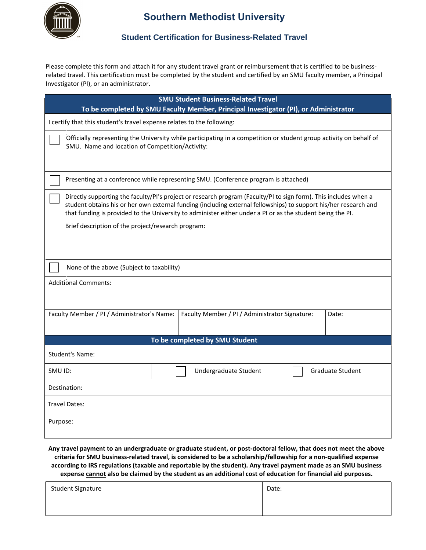

# **Southern Methodist University**

### **Student Certification for Business-Related Travel**

Please complete this form and attach it for any student travel grant or reimbursement that is certified to be businessrelated travel. This certification must be completed by the student and certified by an SMU faculty member, a Principal Investigator (PI), or an administrator.

| <b>SMU Student Business-Related Travel</b>                                                                                                                                                                                                                                                                                                                                                               |                                                |                         |  |
|----------------------------------------------------------------------------------------------------------------------------------------------------------------------------------------------------------------------------------------------------------------------------------------------------------------------------------------------------------------------------------------------------------|------------------------------------------------|-------------------------|--|
| To be completed by SMU Faculty Member, Principal Investigator (PI), or Administrator                                                                                                                                                                                                                                                                                                                     |                                                |                         |  |
| I certify that this student's travel expense relates to the following:                                                                                                                                                                                                                                                                                                                                   |                                                |                         |  |
| Officially representing the University while participating in a competition or student group activity on behalf of<br>SMU. Name and location of Competition/Activity:                                                                                                                                                                                                                                    |                                                |                         |  |
| Presenting at a conference while representing SMU. (Conference program is attached)                                                                                                                                                                                                                                                                                                                      |                                                |                         |  |
| Directly supporting the faculty/PI's project or research program (Faculty/PI to sign form). This includes when a<br>student obtains his or her own external funding (including external fellowships) to support his/her research and<br>that funding is provided to the University to administer either under a PI or as the student being the PI.<br>Brief description of the project/research program: |                                                |                         |  |
|                                                                                                                                                                                                                                                                                                                                                                                                          |                                                |                         |  |
| None of the above (Subject to taxability)                                                                                                                                                                                                                                                                                                                                                                |                                                |                         |  |
| <b>Additional Comments:</b>                                                                                                                                                                                                                                                                                                                                                                              |                                                |                         |  |
| Faculty Member / PI / Administrator's Name:                                                                                                                                                                                                                                                                                                                                                              | Faculty Member / PI / Administrator Signature: | Date:                   |  |
| To be completed by SMU Student                                                                                                                                                                                                                                                                                                                                                                           |                                                |                         |  |
| <b>Student's Name:</b>                                                                                                                                                                                                                                                                                                                                                                                   |                                                |                         |  |
| SMU ID:                                                                                                                                                                                                                                                                                                                                                                                                  | Undergraduate Student                          | <b>Graduate Student</b> |  |
| Destination:                                                                                                                                                                                                                                                                                                                                                                                             |                                                |                         |  |
| <b>Travel Dates:</b>                                                                                                                                                                                                                                                                                                                                                                                     |                                                |                         |  |
| Purpose:                                                                                                                                                                                                                                                                                                                                                                                                 |                                                |                         |  |

Any travel payment to an undergraduate or graduate student, or post-doctoral fellow, that does not meet the above **criteria for SMU business-related travel, is considered to be a scholarship/fellowship for a non-qualified expense according to IRS regulations (taxable and reportable by the student). Any travel payment made as an SMU business expense cannot also be claimed by the student as an additional cost of education for financial aid purposes.**

| <b>Student Signature</b> | Date: |
|--------------------------|-------|
|                          |       |